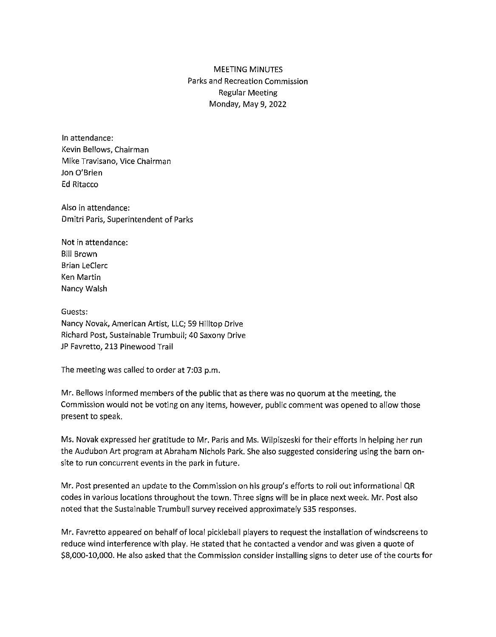# MEETING MINUTES Parks and Recreation Commission Regular Meeting Monday, May 9, 2022

In attendance: Kevin Bellows, Chairman Mike Travisano, Vice Chairman Jon O'Brien Ed Ritacco

Also in attendance: Dmitri Paris, Superintendent of Parks

Not in attendance: Bill Brown Brian LeClerc Ken Martin Nancy Walsh

Guests: Nancy Novak, American Artist, LLC; 59 Hilltop Drive Richard Post, Sustainable Trumbull; 40 Saxony Drive JP Favretto, 213 Pinewood Trail

The meeting was called to order at 7:03 p.m.

Mr. Bellows informed members of the public that as there was no quorum at the meeting, the Commission would not be voting on any items, however, public comment was opened to allow those present to speak.

Ms. Novak expressed her gratitude to Mr. Paris and Ms. Wilpiszeski for their efforts in helping her run the Audubon Art program at Abraham Nichols Park. She also suggested considering using the barn onsite to run concurrent events in the park in future.

Mr. Post presented an update to the Commission on his group's efforts to roll out informational QR codes in various locations throughout the town. Three signs will be in place next week. Mr. Post also noted that the Sustainable Trumbull survey received approximately 535 responses.

Mr. Favretto appeared on behalf of local pickleball players to request the installation of windscreens to reduce wind interference with play. He stated that he contacted a vendor and was given a quote of \$8,000-10,000. He also asked that the Commission consider installing signs to deter use of the courts for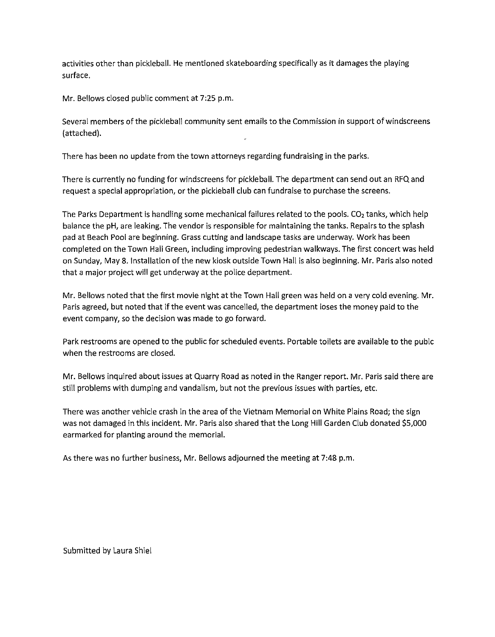activities other than pickleball. He mentioned skateboarding specifically as it damages the playing surface.

Mr. Bellows closed public comment at 7:25 p.m.

Several members of the pickleball community sent emails to the Commission in support of windscreens (attached).

There has been no update from the town attorneys regarding fundraising in the parks.

There is currently no funding for windscreens for pickle ball. The department can send out an RFQ and request a special appropriation, or the pickleball club can fundraise to purchase the screens.

The Parks Department is handling some mechanical failures related to the pools. CO<sub>2</sub> tanks, which help balance the pH, are leaking. The vendor is responsible for maintaining the tanks. Repairs to the splash pad at Beach Pool are beginning. Grass cutting and landscape tasks are underway. Work has been completed on the Town Hall Green, including improving pedestrian walkways. The first concert was held on Sunday, May 8. Installation of the new kiosk outside Town Hall is also beginning. Mr. Paris also noted that a major project will get underway at the police department.

Mr. Bellows noted that the first movie night at the Town Hall green was held on a very cold evening. Mr. Paris agreed, but noted that if the event was cancelled, the department loses the money paid to the event company, so the decision was made to go forward.

Park restrooms are opened to the public for scheduled events. Portable toilets are available to the pubic when the restrooms are closed.

Mr. Bellows inquired about issues at Quarry Road as noted in the Ranger report. Mr. Paris said there are still problems with dumping and vandalism, but not the previous issues with parties, etc.

There was another vehicle crash in the area of the Vietnam Memorial on White Plains Road; the sign was not damaged in this incident. Mr. Paris also shared that the Long Hill Garden Club donated \$5,000 earmarked for planting around the memorial.

As there was no further business, Mr. Bellows adjourned the meeting at 7:48 p.m.

Submitted by Laura Shiel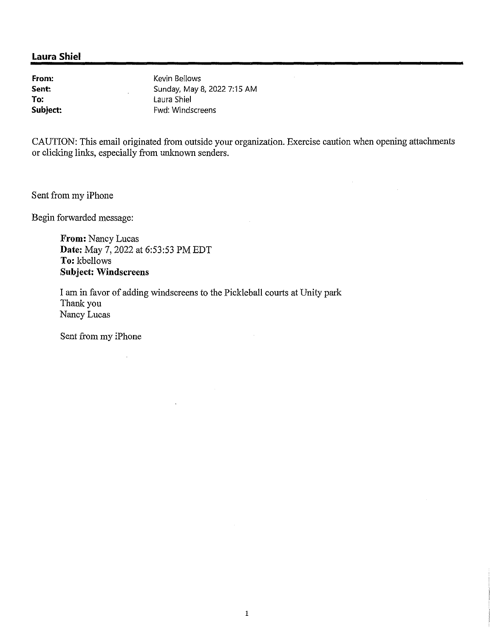**From: Sent: To: Subject:**  Kevin Bellows Sunday, May 8, 2022 7:15 AM Laura Shiel Fwd: Windscreens

CAUTION: This email originated from outside your organization. Exercise caution when opening attaclunents or clicking links, especially from unknown senders.

Sent from my iPhone

Begin forwarded message:

**From:** Nancy Lucas **Date:** May 7, 2022 at 6:53:53 PM EDT **To:** kbellows **Subject: Windscreens** 

I am in favor of adding windscreens to the Pickleball courts at Unity park Thank you Nancy Lucas

Sent from my iPhone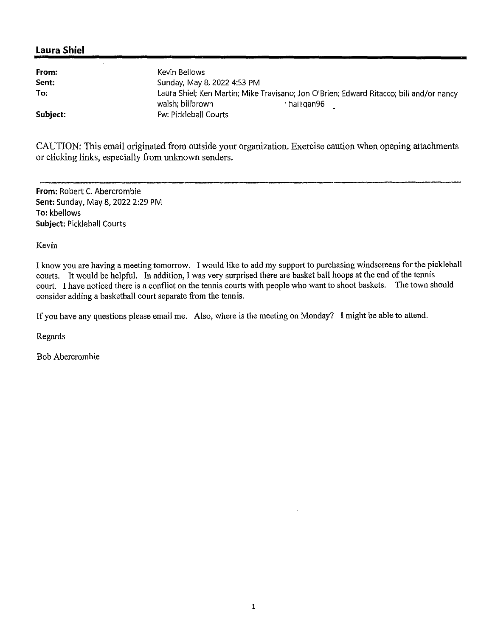| From:    | Kevin Bellows                                                                                                             |  |
|----------|---------------------------------------------------------------------------------------------------------------------------|--|
| Sent:    | Sunday, May 8, 2022 4:53 PM                                                                                               |  |
| To:      | Laura Shiel; Ken Martin; Mike Travisano; Jon O'Brien; Edward Ritacco; bill and/or nancy<br>walsh; billbrown<br>halligan96 |  |
| Subject: | Fw: Pickleball Courts                                                                                                     |  |

CAUTION: This email originated from outside your organization. Exercise caution when opening attachments or clicking links, especially from unknown senders.

**From:** Robert C. Abercrombie **Sent:** Sunday, May 8, 2022 2:29 PM **To:** kbellows **Subject:** Pickleball Courts

Kevin

I know you are having a meeting tomorrow. I would like to add my support to purchasing windscreens for the pickleball courts. It would be helpful. In addition, I was very surprised there are basket ball hoops at the end of the tennis court. I have noticed there is a conflict on the tennis courts with people who want to shoot baskets. The town should consider adding a basketball court separate from the tennis.

If you have any questions please email me. Also, where is the meeting on Monday? I might be able to attend.

Regards

Bob Abercromhie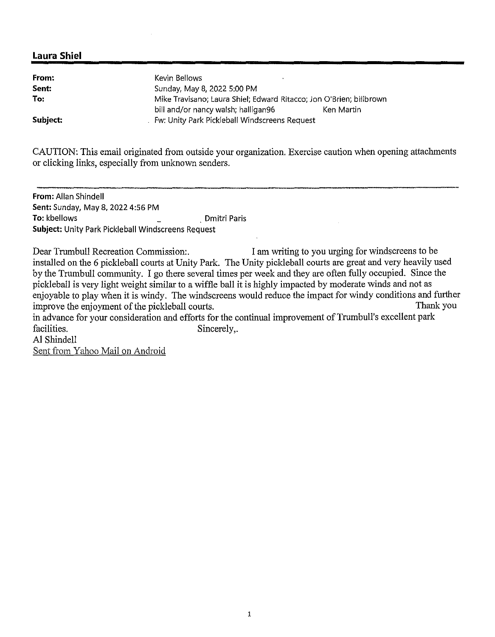| From:    | Kevin Bellows                                                       |            |
|----------|---------------------------------------------------------------------|------------|
| Sent:    | Sunday, May 8, 2022 5:00 PM                                         |            |
| To:      | Mike Travisano; Laura Shiel; Edward Ritacco; Jon O'Brien; billbrown |            |
|          | bill and/or nancy walsh; halligan96                                 | Ken Martin |
| Subject: | Fw: Unity Park Pickleball Windscreens Request                       |            |

CAUTION: This email originated from outside your organization, Exercise caution when opening attachments or clicking links, especially from unknown senders.

**From:** Allan Shindel! **Sent:** Sunday, May 8, 2022 4:56 PM **To:** kbellows . Dmitri Paris **Subject:** Unity Park Pickleball Windscreens Request

Dear Trumbull Recreation Commission:. I am writing to you urging for windscreens to be installed on the 6 pickleball courts at Unity Park. The Unity pickleball courts are great and very heavily used by the Trumbull community. I go there several times per week and they are often fully occupied. Since the pickleball is very light weight similar to a wiffle ball it is highly impacted by moderate winds and not as enjoyable to play when it is windy. The windscreens would reduce the impact for windy conditions and further<br>improve the enjoyment of the pickleball courts. improve the enjoyment of the pickleball courts. in advance for your consideration and efforts for the continual improvement of Trumbull's excellent park

facilities. Sincerely,

Al Shindell Sent from Yahoo Mail on Android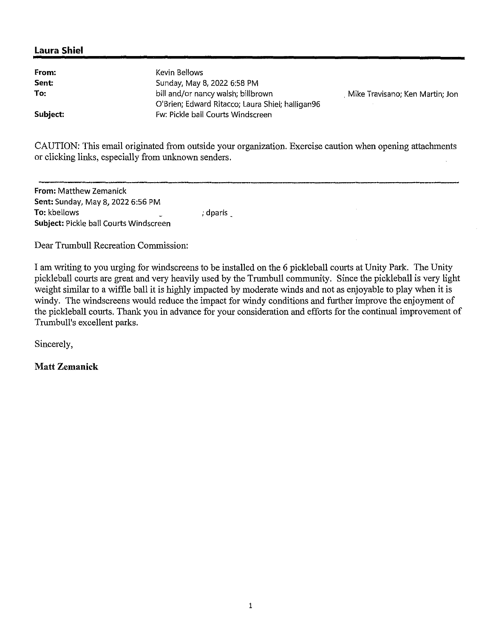| From:    | Kevin Bellows                                    |                                 |
|----------|--------------------------------------------------|---------------------------------|
| Sent:    | Sunday, May 8, 2022 6:58 PM                      |                                 |
| To:      | bill and/or nancy walsh; billbrown               | Mike Travisano; Ken Martin; Jon |
|          | O'Brien; Edward Ritacco; Laura Shiel; halligan96 |                                 |
| Subject: | Fw: Pickle ball Courts Windscreen                |                                 |

CAUTION: This email originated from outside your organization. Exercise caution when opening attachments or clicking links, especially from unknown senders.

**From: Matthew Zemanick Sent:** Sunday, May 8, 2022 6:56 PM **To:** kbellows **Subject:** Pickle ball Courts Windscreen ; dparis \_

Dear Trumbull Recreation Commission:

I am writing to you urging for windscreens to be installed on the 6 pickleball courts at Unity Park. The Unity pickleball courts are great and very heavily used by the Trumbull community. Since the pickleball is very light weight similar to a wiffle ball it is highly impacted by moderate winds and not as enjoyable to play when it is windy. The windscreens would reduce the impact for windy conditions and further improve the enjoyment of the pickleball courts. Thank you in advance for your consideration and efforts for the continual improvement of Trumbull's excellent parks.

Sincerely,

**Matt Zemanick**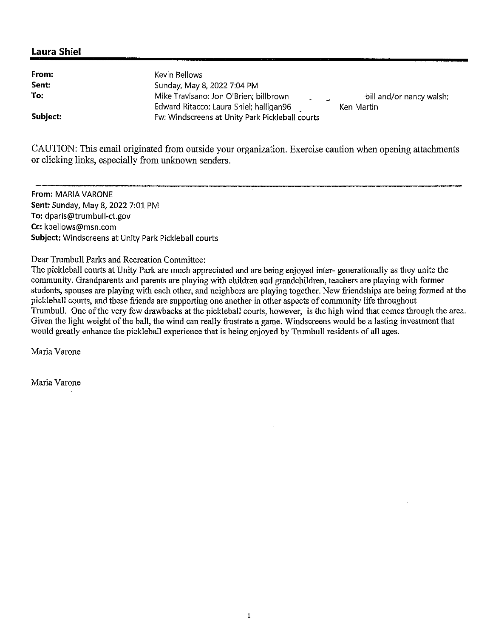| From:    | Kevin Bellows                                                                                                                                           |
|----------|---------------------------------------------------------------------------------------------------------------------------------------------------------|
| Sent:    | Sunday, May 8, 2022 7:04 PM                                                                                                                             |
| To:      | Mike Travisano; Jon O'Brien; billbrown<br>, bill and/or nancy walsh;<br>$\Delta \sim 10^{-10}$<br>Edward Ritacco; Laura Shiel; halligan96<br>Ken Martin |
| Subject: | Fw: Windscreens at Unity Park Pickleball courts                                                                                                         |

CAUTION: This email originated from outside your organization. Exercise caution when opening attachments or clicking links, especially from unknown senders.

**From:** MARIA VARONE **Sent:** Sunday, May 8, 2022 7:01 PM **To:** dparis@trumbull-ct.gov **Cc:** kbellows@msn.com **Subject:** Windscreens at Unity Park Pickleball courts

Dear Trumbull Parks and Recreation Committee:

The pickleball courts at Unity Park are much appreciated and are being enjoyed inter- generationally as they unite the community. Grandparents and parents are playing with children and grandchildren, teachers are playing with former students, spouses are playing with each other, and neighbors are playing together. New friendships are being formed at the pickleball courts, and these friends are supporting one another in other aspects of community life throughout Trumbull. One of the very few drawbacks at the pickleball courts, however, is the high wind that comes through the area. Given the light weight of the ball, the wind can really frustrate a game. Windscreens would be a lasting investment that would greatly enhance the pickleball experience that is being enjoyed by Trumbull residents of all ages.

Maria Varone

Maria Varone